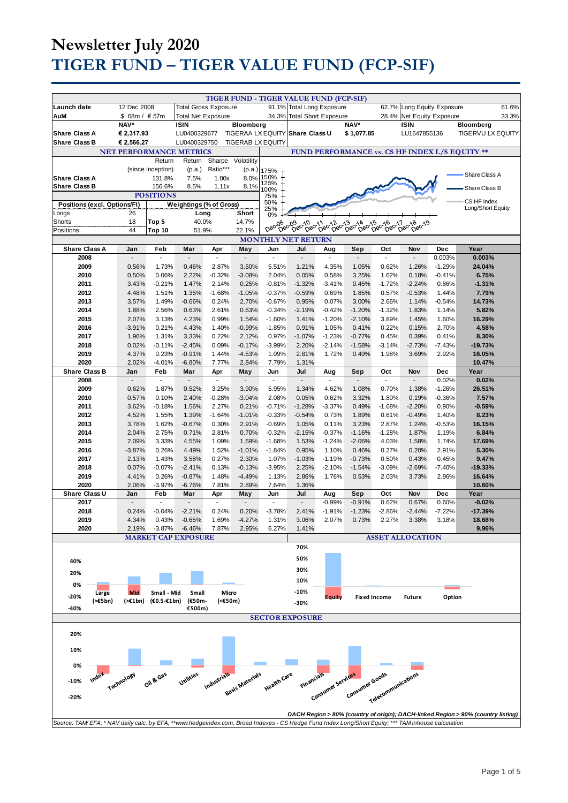| 12 Dec 2008<br><b>Total Gross Exposure</b><br>91.1%<br><b>Total Long Exposure</b><br>62.7% Long Equity Exposure<br>61.6%<br>\$ 68m / $€57m$<br>34.3%<br>28.4% Net Equity Exposure<br>33.3%<br>AuM<br><b>Total Net Exposure</b><br><b>Total Short Exposure</b><br>NAV*<br>NAV*<br><b>ISIN</b><br>Bloomberg<br><b>ISIN</b><br><b>Bloomberg</b><br><b>Share Class A</b><br>€ 2,317.93<br>LU0400329677<br>TIGERAA LX EQUITY Share Class U<br>\$1,077.85<br>LU1647855136<br><b>TIGERVU LX EQUITY</b><br><b>Share Class B</b><br>€ 2,566.27<br><b>TIGERAB LX EQUITY</b><br>LU0400329750<br><b>NET PERFORMANCE METRICS</b><br>FUND PERFORMANCE vs. CS HF INDEX L/S EQUITY **<br>Return<br>Return<br>Sharpe<br>Volatility<br>Ratio***<br>(since inception)<br>(p.a.)<br>(p.a.)<br>175%<br>Share Class A<br>150%<br><b>Share Class A</b><br>131.8%<br>7.5%<br>8.0%<br>1.00x<br>125%<br><b>Share Class B</b><br>156.6%<br>8.1%<br>8.5%<br>1.11x<br>Share Class B<br>100%<br><b>POSITIONS</b><br>75%<br>CS HF Index<br>50%<br>Weightings (% of Gross)<br>Positions (excl. Options/FI)<br>Long/Short Equity<br>25%<br>Short<br>Longs<br>26<br>Long<br>0%<br>Shorts<br>18<br>40.0%<br>14.7%<br>Top 5<br>09 - 10 c-11 c-12 c-13 c-14<br>Dec-Dec-Dec-Dec-Dec-De<br>Dec <sub>16</sub><br>$0e^{c^{17}}$<br>Dec-09<br>Dec <sub>15</sub><br>$\text{Dec}^{\text{18}}$<br>Dec-08<br>$\widetilde{D}e^{\widetilde{C}^{\prime\left\{ \right\} }}$<br>44<br>Positions<br>Top 10<br>22.1%<br>51.9%<br><b>MONTHLY NET RETURN</b><br><b>Share Class A</b><br>Feb<br>Year<br>Jan<br>Mar<br>Apr<br>May<br>Jun<br>Jul<br>Aug<br>Sep<br>Oct<br>Nov<br>Dec<br>÷.<br>$\Box$<br>÷.<br>$\mathbb{Z}^{\mathbb{Z}}$<br>0.003%<br>0.003%<br>2008<br>$\blacksquare$<br>$\overline{a}$<br>÷,<br>$\Box$<br>$\mathcal{L}$<br>$\overline{a}$<br>÷.<br>2009<br>0.56%<br>1.73%<br>0.46%<br>2.87%<br>3.60%<br>5.51%<br>1.21%<br>4.35%<br>1.05%<br>0.62%<br>1.26%<br>$-1.29%$<br>24.04%<br>2010<br>0.06%<br>2.22%<br>$-0.32%$<br>$-3.08%$<br>2.04%<br>0.05%<br>0.58%<br>3.25%<br>1.62%<br>0.18%<br>$-0.41%$<br>6.75%<br>0.50%<br>2011<br>$-0.21%$<br>1.47%<br>2.14%<br>0.25%<br>$-0.81%$<br>$-1.32%$<br>0.45%<br>$-1.72%$<br>$-2.24%$<br>0.86%<br>$-1.31%$<br>3.43%<br>$-3.41%$<br>2012<br>4.48%<br>1.51%<br>1.35%<br>$-1.68%$<br>$-1.05%$<br>$-0.37%$<br>$-0.59%$<br>0.69%<br>1.85%<br>0.57%<br>$-0.53%$<br>7.79%<br>1.44%<br>2013<br>1.49%<br>$-0.66%$<br>2.70%<br>$-0.67%$<br>0.95%<br>0.07%<br>3.00%<br>2.66%<br>14.73%<br>3.57%<br>0.24%<br>1.14%<br>$-0.54%$<br>2014<br>1.88%<br>2.56%<br>2.61%<br>0.63%<br>$-0.34%$<br>$-2.19%$<br>$-0.42%$<br>$-1.20%$<br>$-1.32%$<br>1.83%<br>5.82%<br>0.63%<br>1.14%<br>2015<br>2.07%<br>3.13%<br>4.23%<br>0.99%<br>1.54%<br>$-1.60%$<br>1.41%<br>$-1.20%$<br>$-2.10%$<br>3.89%<br>1.60%<br>16.29%<br>1.45%<br>$-3.91%$<br>0.21%<br>4.43%<br>1.40%<br>$-0.99%$<br>$-1.85%$<br>0.91%<br>1.05%<br>0.41%<br>0.22%<br>0.15%<br>4.58%<br>2016<br>2.70%<br>2017<br>1.96%<br>1.31%<br>3.33%<br>0.22%<br>2.12%<br>0.97%<br>$-1.07%$<br>$-1.23%$<br>$-0.77%$<br>0.45%<br>0.39%<br>0.41%<br>8.30%<br>2018<br>0.02%<br>$-0.11%$<br>$-2.45%$<br>0.09%<br>$-0.17%$<br>$-3.99%$<br>2.20%<br>$-1.58%$<br>$-3.14%$<br>$-2.73%$<br>$-7.43%$<br>$-19.73%$<br>$-2.14%$<br>2019<br>4.37%<br>0.23%<br>$-0.91%$<br>1.44%<br>$-4.53%$<br>1.09%<br>2.81%<br>1.72%<br>0.49%<br>1.98%<br>3.69%<br>2.92%<br>16.05%<br>2020<br>2.02%<br>$-4.01%$<br>$-6.80%$<br>7.77%<br>2.84%<br>7.79%<br>10.47%<br>1.31%<br><b>Share Class B</b><br>Feb<br>Mar<br>Jul<br>Year<br>Jan<br>Apr<br>May<br>Jun<br>Aug<br>Sep<br>Oct<br>Nov<br>Dec<br>2008<br>0.02%<br>0.02%<br>$\blacksquare$<br>$\overline{\phantom{a}}$<br>$\overline{\phantom{a}}$<br>$\overline{\phantom{a}}$<br>$\overline{\phantom{a}}$<br>$\blacksquare$<br>$\overline{\phantom{a}}$<br>$\blacksquare$<br>٠<br>2009<br>0.62%<br>1.87%<br>0.52%<br>3.25%<br>3.90%<br>5.95%<br>1.34%<br>4.62%<br>1.08%<br>0.70%<br>1.38%<br>$-1.26%$<br>26.51%<br>2010<br>0.57%<br>0.10%<br>2.40%<br>$-0.28%$<br>$-3.04%$<br>2.08%<br>0.05%<br>0.62%<br>3.32%<br>1.80%<br>0.19%<br>$-0.36%$<br>7.57%<br>2011<br>3.62%<br>$-0.18%$<br>1.56%<br>2.27%<br>0.21%<br>$-0.71%$<br>$-1.28%$<br>$-3.37%$<br>0.49%<br>$-1.68%$<br>$-2.20%$<br>0.90%<br>$-0.59%$<br>2012<br>4.52%<br>1.55%<br>1.39%<br>$-1.64%$<br>$-1.01%$<br>$-0.33%$<br>$-0.54%$<br>0.73%<br>1.89%<br>0.61%<br>$-0.49%$<br>1.40%<br>8.23%<br>1.62%<br>$-0.69%$<br>2013<br>3.78%<br>$-0.67%$<br>0.30%<br>2.91%<br>1.05%<br>0.11%<br>3.23%<br>2.87%<br>1.24%<br>$-0.53%$<br>16.15%<br>2014<br>2.04%<br>2.75%<br>2.81%<br>0.70%<br>$-0.32%$<br>$-2.15%$<br>$-0.37%$<br>$-1.16%$<br>$-1.28%$<br>1.87%<br>1.19%<br>6.84%<br>0.71%<br>$-1.68%$<br>2015<br>2.09%<br>3.33%<br>4.55%<br>1.09%<br>1.69%<br>1.53%<br>$-1.24%$<br>$-2.06%$<br>4.03%<br>1.58%<br>1.74%<br>17.69%<br>$-3.87%$<br>0.26%<br>4.49%<br>1.52%<br>$-1.01%$<br>$-1.84%$<br>0.95%<br>0.46%<br>0.27%<br>2.91%<br>5.30%<br>2016<br>1.10%<br>0.20%<br>2.13%<br>1.43%<br>3.58%<br>0.27%<br>2.30%<br>1.07%<br>$-1.03%$<br>$-0.73%$<br>0.50%<br>0.43%<br>9.47%<br>2017<br>$-1.19%$<br>0.45%<br>0.07%<br>$-0.07%$<br>0.13%<br>$-3.95%$<br>2.25%<br>$-1.54%$<br>$-3.09%$<br>$-2.69%$<br>2018<br>$-2.41%$<br>$-0.13%$<br>$-2.10%$<br>$-7.40%$<br>-19.33%<br>2019<br>4.41%<br>0.26%<br>$-0.87%$<br>1.48%<br>$-4.49%$<br>1.13%<br>2.86%<br>1.76%<br>0.53%<br>2.03%<br>3.73%<br>2.96%<br>16.64%<br>2020<br>2.06%<br>$-3.97%$<br>2.89%<br>7.64%<br>10.60%<br>$-6.76%$<br>7.81%<br>1.36%<br>Share Class U<br>Feb<br>Mar<br>Jun<br>Jul<br>Oct<br>Nov<br>Year<br>Jan<br>Apr<br>May<br>Aug<br>Sep<br>Dec<br>0.62%<br>0.67%<br>2017<br>$-0.99%$<br>$-0.91%$<br>0.60%<br>$-0.02%$<br>$\blacksquare$<br>÷,<br>÷,<br>$-1.23%$<br>2018<br>0.24%<br>$-0.04%$<br>$-2.21%$<br>0.24%<br>0.20%<br>$-3.78%$<br>2.41%<br>$-1.91%$<br>$-2.86%$<br>$-2.44%$<br>$-7.22%$<br>$-17.39%$<br>2019<br>$-4.27%$<br>1.31%<br>3.18%<br>18.68%<br>4.34%<br>0.43%<br>$-0.65%$<br>1.69%<br>3.06%<br>2.07%<br>0.73%<br>2.27%<br>3.38%<br>$-3.87%$<br>6.27%<br>2020<br>2.19%<br>$-6.46%$<br>7.87%<br>2.95%<br>1.41%<br>9.96%<br><b>MARKET CAP EXPOSURE</b><br><b>ASSET ALLOCATION</b><br>70%<br>50%<br>40%<br>30%<br>20%<br>10%<br>0%<br>-10%<br><b>Mid</b><br>Small - Mid<br>Small<br>Micro<br>Large<br>$-20%$<br><b>Fixed Income</b><br>Option<br>Equity<br><b>Future</b><br>$(\geq 5$ bn)<br>$(>=1bn)$<br>$(60.5 - 61$ bn)<br>(€50m-<br>(<€50m)<br>-30%<br>-40%<br>€500m)<br><b>SECTOR EXPOSURE</b><br>20%<br>10%<br>0%<br>Industrials<br>Financials<br>Index<br>Utilities<br>Basic Materials<br>Consumer Goods<br>Telecommunications<br>Technology<br>Oil & Gas<br>Health Care<br>$-10%$<br>$-20%$<br>DACH Region > 80% (country of origin); DACH-linked Region > 90% (country listing)<br>Source: TAM/EFA; * NAV daily calc. by EFA; **www.hedgeindex.com, Broad Indexes - CS Hedge Fund Index Long/Short Equity; *** TAM inhouse calculation |             |  |  |  |  |  |  | TIGER FUND - TIGER VALUE FUND (FCP-SIF) |  |  |  |
|-------------------------------------------------------------------------------------------------------------------------------------------------------------------------------------------------------------------------------------------------------------------------------------------------------------------------------------------------------------------------------------------------------------------------------------------------------------------------------------------------------------------------------------------------------------------------------------------------------------------------------------------------------------------------------------------------------------------------------------------------------------------------------------------------------------------------------------------------------------------------------------------------------------------------------------------------------------------------------------------------------------------------------------------------------------------------------------------------------------------------------------------------------------------------------------------------------------------------------------------------------------------------------------------------------------------------------------------------------------------------------------------------------------------------------------------------------------------------------------------------------------------------------------------------------------------------------------------------------------------------------------------------------------------------------------------------------------------------------------------------------------------------------------------------------------------------------------------------------------------------------------------------------------------------------------------------------------------------------------------------------------------------------------------------------------------------------------------------------------------------------------------------------------------------------------------------------------------------------------------------------------------------------------------------------------------------------------------------------------------------------------------------------------------------------------------------------------------------------------------------------------------------------------------------------------------------------------------------------------------------------------------------------------------------------------------------------------------------------------------------------------------------------------------------------------------------------------------------------------------------------------------------------------------------------------------------------------------------------------------------------------------------------------------------------------------------------------------------------------------------------------------------------------------------------------------------------------------------------------------------------------------------------------------------------------------------------------------------------------------------------------------------------------------------------------------------------------------------------------------------------------------------------------------------------------------------------------------------------------------------------------------------------------------------------------------------------------------------------------------------------------------------------------------------------------------------------------------------------------------------------------------------------------------------------------------------------------------------------------------------------------------------------------------------------------------------------------------------------------------------------------------------------------------------------------------------------------------------------------------------------------------------------------------------------------------------------------------------------------------------------------------------------------------------------------------------------------------------------------------------------------------------------------------------------------------------------------------------------------------------------------------------------------------------------------------------------------------------------------------------------------------------------------------------------------------------------------------------------------------------------------------------------------------------------------------------------------------------------------------------------------------------------------------------------------------------------------------------------------------------------------------------------------------------------------------------------------------------------------------------------------------------------------------------------------------------------------------------------------------------------------------------------------------------------------------------------------------------------------------------------------------------------------------------------------------------------------------------------------------------------------------------------------------------------------------------------------------------------------------------------------------------------------------------------------------------------------------------------------------------------------------------------------------------------------------------------------------------------------------------------------------------------------------------------------------------------------------------------------------------------------------------------------------------------------------------------------------------------------------------------------------------------------------------------------------------------------------------------------------------------------------------------------------------------------------------------------------------------------------------------------------------------------------------------------------------------------------------------------------------------------------------------------------------------------------------------------------------------------------------------------------------------------------------------------------------------------------------------------------------------------------------------------------------|-------------|--|--|--|--|--|--|-----------------------------------------|--|--|--|
|                                                                                                                                                                                                                                                                                                                                                                                                                                                                                                                                                                                                                                                                                                                                                                                                                                                                                                                                                                                                                                                                                                                                                                                                                                                                                                                                                                                                                                                                                                                                                                                                                                                                                                                                                                                                                                                                                                                                                                                                                                                                                                                                                                                                                                                                                                                                                                                                                                                                                                                                                                                                                                                                                                                                                                                                                                                                                                                                                                                                                                                                                                                                                                                                                                                                                                                                                                                                                                                                                                                                                                                                                                                                                                                                                                                                                                                                                                                                                                                                                                                                                                                                                                                                                                                                                                                                                                                                                                                                                                                                                                                                                                                                                                                                                                                                                                                                                                                                                                                                                                                                                                                                                                                                                                                                                                                                                                                                                                                                                                                                                                                                                                                                                                                                                                                                                                                                                                                                                                                                                                                                                                                                                                                                                                                                                                                                                                                                                                                                                                                                                                                                                                                                                                                                                                                                                                                                                                                         | Launch date |  |  |  |  |  |  |                                         |  |  |  |
|                                                                                                                                                                                                                                                                                                                                                                                                                                                                                                                                                                                                                                                                                                                                                                                                                                                                                                                                                                                                                                                                                                                                                                                                                                                                                                                                                                                                                                                                                                                                                                                                                                                                                                                                                                                                                                                                                                                                                                                                                                                                                                                                                                                                                                                                                                                                                                                                                                                                                                                                                                                                                                                                                                                                                                                                                                                                                                                                                                                                                                                                                                                                                                                                                                                                                                                                                                                                                                                                                                                                                                                                                                                                                                                                                                                                                                                                                                                                                                                                                                                                                                                                                                                                                                                                                                                                                                                                                                                                                                                                                                                                                                                                                                                                                                                                                                                                                                                                                                                                                                                                                                                                                                                                                                                                                                                                                                                                                                                                                                                                                                                                                                                                                                                                                                                                                                                                                                                                                                                                                                                                                                                                                                                                                                                                                                                                                                                                                                                                                                                                                                                                                                                                                                                                                                                                                                                                                                                         |             |  |  |  |  |  |  |                                         |  |  |  |
|                                                                                                                                                                                                                                                                                                                                                                                                                                                                                                                                                                                                                                                                                                                                                                                                                                                                                                                                                                                                                                                                                                                                                                                                                                                                                                                                                                                                                                                                                                                                                                                                                                                                                                                                                                                                                                                                                                                                                                                                                                                                                                                                                                                                                                                                                                                                                                                                                                                                                                                                                                                                                                                                                                                                                                                                                                                                                                                                                                                                                                                                                                                                                                                                                                                                                                                                                                                                                                                                                                                                                                                                                                                                                                                                                                                                                                                                                                                                                                                                                                                                                                                                                                                                                                                                                                                                                                                                                                                                                                                                                                                                                                                                                                                                                                                                                                                                                                                                                                                                                                                                                                                                                                                                                                                                                                                                                                                                                                                                                                                                                                                                                                                                                                                                                                                                                                                                                                                                                                                                                                                                                                                                                                                                                                                                                                                                                                                                                                                                                                                                                                                                                                                                                                                                                                                                                                                                                                                         |             |  |  |  |  |  |  |                                         |  |  |  |
|                                                                                                                                                                                                                                                                                                                                                                                                                                                                                                                                                                                                                                                                                                                                                                                                                                                                                                                                                                                                                                                                                                                                                                                                                                                                                                                                                                                                                                                                                                                                                                                                                                                                                                                                                                                                                                                                                                                                                                                                                                                                                                                                                                                                                                                                                                                                                                                                                                                                                                                                                                                                                                                                                                                                                                                                                                                                                                                                                                                                                                                                                                                                                                                                                                                                                                                                                                                                                                                                                                                                                                                                                                                                                                                                                                                                                                                                                                                                                                                                                                                                                                                                                                                                                                                                                                                                                                                                                                                                                                                                                                                                                                                                                                                                                                                                                                                                                                                                                                                                                                                                                                                                                                                                                                                                                                                                                                                                                                                                                                                                                                                                                                                                                                                                                                                                                                                                                                                                                                                                                                                                                                                                                                                                                                                                                                                                                                                                                                                                                                                                                                                                                                                                                                                                                                                                                                                                                                                         |             |  |  |  |  |  |  |                                         |  |  |  |
|                                                                                                                                                                                                                                                                                                                                                                                                                                                                                                                                                                                                                                                                                                                                                                                                                                                                                                                                                                                                                                                                                                                                                                                                                                                                                                                                                                                                                                                                                                                                                                                                                                                                                                                                                                                                                                                                                                                                                                                                                                                                                                                                                                                                                                                                                                                                                                                                                                                                                                                                                                                                                                                                                                                                                                                                                                                                                                                                                                                                                                                                                                                                                                                                                                                                                                                                                                                                                                                                                                                                                                                                                                                                                                                                                                                                                                                                                                                                                                                                                                                                                                                                                                                                                                                                                                                                                                                                                                                                                                                                                                                                                                                                                                                                                                                                                                                                                                                                                                                                                                                                                                                                                                                                                                                                                                                                                                                                                                                                                                                                                                                                                                                                                                                                                                                                                                                                                                                                                                                                                                                                                                                                                                                                                                                                                                                                                                                                                                                                                                                                                                                                                                                                                                                                                                                                                                                                                                                         |             |  |  |  |  |  |  |                                         |  |  |  |
|                                                                                                                                                                                                                                                                                                                                                                                                                                                                                                                                                                                                                                                                                                                                                                                                                                                                                                                                                                                                                                                                                                                                                                                                                                                                                                                                                                                                                                                                                                                                                                                                                                                                                                                                                                                                                                                                                                                                                                                                                                                                                                                                                                                                                                                                                                                                                                                                                                                                                                                                                                                                                                                                                                                                                                                                                                                                                                                                                                                                                                                                                                                                                                                                                                                                                                                                                                                                                                                                                                                                                                                                                                                                                                                                                                                                                                                                                                                                                                                                                                                                                                                                                                                                                                                                                                                                                                                                                                                                                                                                                                                                                                                                                                                                                                                                                                                                                                                                                                                                                                                                                                                                                                                                                                                                                                                                                                                                                                                                                                                                                                                                                                                                                                                                                                                                                                                                                                                                                                                                                                                                                                                                                                                                                                                                                                                                                                                                                                                                                                                                                                                                                                                                                                                                                                                                                                                                                                                         |             |  |  |  |  |  |  |                                         |  |  |  |
|                                                                                                                                                                                                                                                                                                                                                                                                                                                                                                                                                                                                                                                                                                                                                                                                                                                                                                                                                                                                                                                                                                                                                                                                                                                                                                                                                                                                                                                                                                                                                                                                                                                                                                                                                                                                                                                                                                                                                                                                                                                                                                                                                                                                                                                                                                                                                                                                                                                                                                                                                                                                                                                                                                                                                                                                                                                                                                                                                                                                                                                                                                                                                                                                                                                                                                                                                                                                                                                                                                                                                                                                                                                                                                                                                                                                                                                                                                                                                                                                                                                                                                                                                                                                                                                                                                                                                                                                                                                                                                                                                                                                                                                                                                                                                                                                                                                                                                                                                                                                                                                                                                                                                                                                                                                                                                                                                                                                                                                                                                                                                                                                                                                                                                                                                                                                                                                                                                                                                                                                                                                                                                                                                                                                                                                                                                                                                                                                                                                                                                                                                                                                                                                                                                                                                                                                                                                                                                                         |             |  |  |  |  |  |  |                                         |  |  |  |
|                                                                                                                                                                                                                                                                                                                                                                                                                                                                                                                                                                                                                                                                                                                                                                                                                                                                                                                                                                                                                                                                                                                                                                                                                                                                                                                                                                                                                                                                                                                                                                                                                                                                                                                                                                                                                                                                                                                                                                                                                                                                                                                                                                                                                                                                                                                                                                                                                                                                                                                                                                                                                                                                                                                                                                                                                                                                                                                                                                                                                                                                                                                                                                                                                                                                                                                                                                                                                                                                                                                                                                                                                                                                                                                                                                                                                                                                                                                                                                                                                                                                                                                                                                                                                                                                                                                                                                                                                                                                                                                                                                                                                                                                                                                                                                                                                                                                                                                                                                                                                                                                                                                                                                                                                                                                                                                                                                                                                                                                                                                                                                                                                                                                                                                                                                                                                                                                                                                                                                                                                                                                                                                                                                                                                                                                                                                                                                                                                                                                                                                                                                                                                                                                                                                                                                                                                                                                                                                         |             |  |  |  |  |  |  |                                         |  |  |  |
|                                                                                                                                                                                                                                                                                                                                                                                                                                                                                                                                                                                                                                                                                                                                                                                                                                                                                                                                                                                                                                                                                                                                                                                                                                                                                                                                                                                                                                                                                                                                                                                                                                                                                                                                                                                                                                                                                                                                                                                                                                                                                                                                                                                                                                                                                                                                                                                                                                                                                                                                                                                                                                                                                                                                                                                                                                                                                                                                                                                                                                                                                                                                                                                                                                                                                                                                                                                                                                                                                                                                                                                                                                                                                                                                                                                                                                                                                                                                                                                                                                                                                                                                                                                                                                                                                                                                                                                                                                                                                                                                                                                                                                                                                                                                                                                                                                                                                                                                                                                                                                                                                                                                                                                                                                                                                                                                                                                                                                                                                                                                                                                                                                                                                                                                                                                                                                                                                                                                                                                                                                                                                                                                                                                                                                                                                                                                                                                                                                                                                                                                                                                                                                                                                                                                                                                                                                                                                                                         |             |  |  |  |  |  |  |                                         |  |  |  |
|                                                                                                                                                                                                                                                                                                                                                                                                                                                                                                                                                                                                                                                                                                                                                                                                                                                                                                                                                                                                                                                                                                                                                                                                                                                                                                                                                                                                                                                                                                                                                                                                                                                                                                                                                                                                                                                                                                                                                                                                                                                                                                                                                                                                                                                                                                                                                                                                                                                                                                                                                                                                                                                                                                                                                                                                                                                                                                                                                                                                                                                                                                                                                                                                                                                                                                                                                                                                                                                                                                                                                                                                                                                                                                                                                                                                                                                                                                                                                                                                                                                                                                                                                                                                                                                                                                                                                                                                                                                                                                                                                                                                                                                                                                                                                                                                                                                                                                                                                                                                                                                                                                                                                                                                                                                                                                                                                                                                                                                                                                                                                                                                                                                                                                                                                                                                                                                                                                                                                                                                                                                                                                                                                                                                                                                                                                                                                                                                                                                                                                                                                                                                                                                                                                                                                                                                                                                                                                                         |             |  |  |  |  |  |  |                                         |  |  |  |
|                                                                                                                                                                                                                                                                                                                                                                                                                                                                                                                                                                                                                                                                                                                                                                                                                                                                                                                                                                                                                                                                                                                                                                                                                                                                                                                                                                                                                                                                                                                                                                                                                                                                                                                                                                                                                                                                                                                                                                                                                                                                                                                                                                                                                                                                                                                                                                                                                                                                                                                                                                                                                                                                                                                                                                                                                                                                                                                                                                                                                                                                                                                                                                                                                                                                                                                                                                                                                                                                                                                                                                                                                                                                                                                                                                                                                                                                                                                                                                                                                                                                                                                                                                                                                                                                                                                                                                                                                                                                                                                                                                                                                                                                                                                                                                                                                                                                                                                                                                                                                                                                                                                                                                                                                                                                                                                                                                                                                                                                                                                                                                                                                                                                                                                                                                                                                                                                                                                                                                                                                                                                                                                                                                                                                                                                                                                                                                                                                                                                                                                                                                                                                                                                                                                                                                                                                                                                                                                         |             |  |  |  |  |  |  |                                         |  |  |  |
|                                                                                                                                                                                                                                                                                                                                                                                                                                                                                                                                                                                                                                                                                                                                                                                                                                                                                                                                                                                                                                                                                                                                                                                                                                                                                                                                                                                                                                                                                                                                                                                                                                                                                                                                                                                                                                                                                                                                                                                                                                                                                                                                                                                                                                                                                                                                                                                                                                                                                                                                                                                                                                                                                                                                                                                                                                                                                                                                                                                                                                                                                                                                                                                                                                                                                                                                                                                                                                                                                                                                                                                                                                                                                                                                                                                                                                                                                                                                                                                                                                                                                                                                                                                                                                                                                                                                                                                                                                                                                                                                                                                                                                                                                                                                                                                                                                                                                                                                                                                                                                                                                                                                                                                                                                                                                                                                                                                                                                                                                                                                                                                                                                                                                                                                                                                                                                                                                                                                                                                                                                                                                                                                                                                                                                                                                                                                                                                                                                                                                                                                                                                                                                                                                                                                                                                                                                                                                                                         |             |  |  |  |  |  |  |                                         |  |  |  |
|                                                                                                                                                                                                                                                                                                                                                                                                                                                                                                                                                                                                                                                                                                                                                                                                                                                                                                                                                                                                                                                                                                                                                                                                                                                                                                                                                                                                                                                                                                                                                                                                                                                                                                                                                                                                                                                                                                                                                                                                                                                                                                                                                                                                                                                                                                                                                                                                                                                                                                                                                                                                                                                                                                                                                                                                                                                                                                                                                                                                                                                                                                                                                                                                                                                                                                                                                                                                                                                                                                                                                                                                                                                                                                                                                                                                                                                                                                                                                                                                                                                                                                                                                                                                                                                                                                                                                                                                                                                                                                                                                                                                                                                                                                                                                                                                                                                                                                                                                                                                                                                                                                                                                                                                                                                                                                                                                                                                                                                                                                                                                                                                                                                                                                                                                                                                                                                                                                                                                                                                                                                                                                                                                                                                                                                                                                                                                                                                                                                                                                                                                                                                                                                                                                                                                                                                                                                                                                                         |             |  |  |  |  |  |  |                                         |  |  |  |
|                                                                                                                                                                                                                                                                                                                                                                                                                                                                                                                                                                                                                                                                                                                                                                                                                                                                                                                                                                                                                                                                                                                                                                                                                                                                                                                                                                                                                                                                                                                                                                                                                                                                                                                                                                                                                                                                                                                                                                                                                                                                                                                                                                                                                                                                                                                                                                                                                                                                                                                                                                                                                                                                                                                                                                                                                                                                                                                                                                                                                                                                                                                                                                                                                                                                                                                                                                                                                                                                                                                                                                                                                                                                                                                                                                                                                                                                                                                                                                                                                                                                                                                                                                                                                                                                                                                                                                                                                                                                                                                                                                                                                                                                                                                                                                                                                                                                                                                                                                                                                                                                                                                                                                                                                                                                                                                                                                                                                                                                                                                                                                                                                                                                                                                                                                                                                                                                                                                                                                                                                                                                                                                                                                                                                                                                                                                                                                                                                                                                                                                                                                                                                                                                                                                                                                                                                                                                                                                         |             |  |  |  |  |  |  |                                         |  |  |  |
|                                                                                                                                                                                                                                                                                                                                                                                                                                                                                                                                                                                                                                                                                                                                                                                                                                                                                                                                                                                                                                                                                                                                                                                                                                                                                                                                                                                                                                                                                                                                                                                                                                                                                                                                                                                                                                                                                                                                                                                                                                                                                                                                                                                                                                                                                                                                                                                                                                                                                                                                                                                                                                                                                                                                                                                                                                                                                                                                                                                                                                                                                                                                                                                                                                                                                                                                                                                                                                                                                                                                                                                                                                                                                                                                                                                                                                                                                                                                                                                                                                                                                                                                                                                                                                                                                                                                                                                                                                                                                                                                                                                                                                                                                                                                                                                                                                                                                                                                                                                                                                                                                                                                                                                                                                                                                                                                                                                                                                                                                                                                                                                                                                                                                                                                                                                                                                                                                                                                                                                                                                                                                                                                                                                                                                                                                                                                                                                                                                                                                                                                                                                                                                                                                                                                                                                                                                                                                                                         |             |  |  |  |  |  |  |                                         |  |  |  |
|                                                                                                                                                                                                                                                                                                                                                                                                                                                                                                                                                                                                                                                                                                                                                                                                                                                                                                                                                                                                                                                                                                                                                                                                                                                                                                                                                                                                                                                                                                                                                                                                                                                                                                                                                                                                                                                                                                                                                                                                                                                                                                                                                                                                                                                                                                                                                                                                                                                                                                                                                                                                                                                                                                                                                                                                                                                                                                                                                                                                                                                                                                                                                                                                                                                                                                                                                                                                                                                                                                                                                                                                                                                                                                                                                                                                                                                                                                                                                                                                                                                                                                                                                                                                                                                                                                                                                                                                                                                                                                                                                                                                                                                                                                                                                                                                                                                                                                                                                                                                                                                                                                                                                                                                                                                                                                                                                                                                                                                                                                                                                                                                                                                                                                                                                                                                                                                                                                                                                                                                                                                                                                                                                                                                                                                                                                                                                                                                                                                                                                                                                                                                                                                                                                                                                                                                                                                                                                                         |             |  |  |  |  |  |  |                                         |  |  |  |
|                                                                                                                                                                                                                                                                                                                                                                                                                                                                                                                                                                                                                                                                                                                                                                                                                                                                                                                                                                                                                                                                                                                                                                                                                                                                                                                                                                                                                                                                                                                                                                                                                                                                                                                                                                                                                                                                                                                                                                                                                                                                                                                                                                                                                                                                                                                                                                                                                                                                                                                                                                                                                                                                                                                                                                                                                                                                                                                                                                                                                                                                                                                                                                                                                                                                                                                                                                                                                                                                                                                                                                                                                                                                                                                                                                                                                                                                                                                                                                                                                                                                                                                                                                                                                                                                                                                                                                                                                                                                                                                                                                                                                                                                                                                                                                                                                                                                                                                                                                                                                                                                                                                                                                                                                                                                                                                                                                                                                                                                                                                                                                                                                                                                                                                                                                                                                                                                                                                                                                                                                                                                                                                                                                                                                                                                                                                                                                                                                                                                                                                                                                                                                                                                                                                                                                                                                                                                                                                         |             |  |  |  |  |  |  |                                         |  |  |  |
|                                                                                                                                                                                                                                                                                                                                                                                                                                                                                                                                                                                                                                                                                                                                                                                                                                                                                                                                                                                                                                                                                                                                                                                                                                                                                                                                                                                                                                                                                                                                                                                                                                                                                                                                                                                                                                                                                                                                                                                                                                                                                                                                                                                                                                                                                                                                                                                                                                                                                                                                                                                                                                                                                                                                                                                                                                                                                                                                                                                                                                                                                                                                                                                                                                                                                                                                                                                                                                                                                                                                                                                                                                                                                                                                                                                                                                                                                                                                                                                                                                                                                                                                                                                                                                                                                                                                                                                                                                                                                                                                                                                                                                                                                                                                                                                                                                                                                                                                                                                                                                                                                                                                                                                                                                                                                                                                                                                                                                                                                                                                                                                                                                                                                                                                                                                                                                                                                                                                                                                                                                                                                                                                                                                                                                                                                                                                                                                                                                                                                                                                                                                                                                                                                                                                                                                                                                                                                                                         |             |  |  |  |  |  |  |                                         |  |  |  |
|                                                                                                                                                                                                                                                                                                                                                                                                                                                                                                                                                                                                                                                                                                                                                                                                                                                                                                                                                                                                                                                                                                                                                                                                                                                                                                                                                                                                                                                                                                                                                                                                                                                                                                                                                                                                                                                                                                                                                                                                                                                                                                                                                                                                                                                                                                                                                                                                                                                                                                                                                                                                                                                                                                                                                                                                                                                                                                                                                                                                                                                                                                                                                                                                                                                                                                                                                                                                                                                                                                                                                                                                                                                                                                                                                                                                                                                                                                                                                                                                                                                                                                                                                                                                                                                                                                                                                                                                                                                                                                                                                                                                                                                                                                                                                                                                                                                                                                                                                                                                                                                                                                                                                                                                                                                                                                                                                                                                                                                                                                                                                                                                                                                                                                                                                                                                                                                                                                                                                                                                                                                                                                                                                                                                                                                                                                                                                                                                                                                                                                                                                                                                                                                                                                                                                                                                                                                                                                                         |             |  |  |  |  |  |  |                                         |  |  |  |
|                                                                                                                                                                                                                                                                                                                                                                                                                                                                                                                                                                                                                                                                                                                                                                                                                                                                                                                                                                                                                                                                                                                                                                                                                                                                                                                                                                                                                                                                                                                                                                                                                                                                                                                                                                                                                                                                                                                                                                                                                                                                                                                                                                                                                                                                                                                                                                                                                                                                                                                                                                                                                                                                                                                                                                                                                                                                                                                                                                                                                                                                                                                                                                                                                                                                                                                                                                                                                                                                                                                                                                                                                                                                                                                                                                                                                                                                                                                                                                                                                                                                                                                                                                                                                                                                                                                                                                                                                                                                                                                                                                                                                                                                                                                                                                                                                                                                                                                                                                                                                                                                                                                                                                                                                                                                                                                                                                                                                                                                                                                                                                                                                                                                                                                                                                                                                                                                                                                                                                                                                                                                                                                                                                                                                                                                                                                                                                                                                                                                                                                                                                                                                                                                                                                                                                                                                                                                                                                         |             |  |  |  |  |  |  |                                         |  |  |  |
|                                                                                                                                                                                                                                                                                                                                                                                                                                                                                                                                                                                                                                                                                                                                                                                                                                                                                                                                                                                                                                                                                                                                                                                                                                                                                                                                                                                                                                                                                                                                                                                                                                                                                                                                                                                                                                                                                                                                                                                                                                                                                                                                                                                                                                                                                                                                                                                                                                                                                                                                                                                                                                                                                                                                                                                                                                                                                                                                                                                                                                                                                                                                                                                                                                                                                                                                                                                                                                                                                                                                                                                                                                                                                                                                                                                                                                                                                                                                                                                                                                                                                                                                                                                                                                                                                                                                                                                                                                                                                                                                                                                                                                                                                                                                                                                                                                                                                                                                                                                                                                                                                                                                                                                                                                                                                                                                                                                                                                                                                                                                                                                                                                                                                                                                                                                                                                                                                                                                                                                                                                                                                                                                                                                                                                                                                                                                                                                                                                                                                                                                                                                                                                                                                                                                                                                                                                                                                                                         |             |  |  |  |  |  |  |                                         |  |  |  |
|                                                                                                                                                                                                                                                                                                                                                                                                                                                                                                                                                                                                                                                                                                                                                                                                                                                                                                                                                                                                                                                                                                                                                                                                                                                                                                                                                                                                                                                                                                                                                                                                                                                                                                                                                                                                                                                                                                                                                                                                                                                                                                                                                                                                                                                                                                                                                                                                                                                                                                                                                                                                                                                                                                                                                                                                                                                                                                                                                                                                                                                                                                                                                                                                                                                                                                                                                                                                                                                                                                                                                                                                                                                                                                                                                                                                                                                                                                                                                                                                                                                                                                                                                                                                                                                                                                                                                                                                                                                                                                                                                                                                                                                                                                                                                                                                                                                                                                                                                                                                                                                                                                                                                                                                                                                                                                                                                                                                                                                                                                                                                                                                                                                                                                                                                                                                                                                                                                                                                                                                                                                                                                                                                                                                                                                                                                                                                                                                                                                                                                                                                                                                                                                                                                                                                                                                                                                                                                                         |             |  |  |  |  |  |  |                                         |  |  |  |
|                                                                                                                                                                                                                                                                                                                                                                                                                                                                                                                                                                                                                                                                                                                                                                                                                                                                                                                                                                                                                                                                                                                                                                                                                                                                                                                                                                                                                                                                                                                                                                                                                                                                                                                                                                                                                                                                                                                                                                                                                                                                                                                                                                                                                                                                                                                                                                                                                                                                                                                                                                                                                                                                                                                                                                                                                                                                                                                                                                                                                                                                                                                                                                                                                                                                                                                                                                                                                                                                                                                                                                                                                                                                                                                                                                                                                                                                                                                                                                                                                                                                                                                                                                                                                                                                                                                                                                                                                                                                                                                                                                                                                                                                                                                                                                                                                                                                                                                                                                                                                                                                                                                                                                                                                                                                                                                                                                                                                                                                                                                                                                                                                                                                                                                                                                                                                                                                                                                                                                                                                                                                                                                                                                                                                                                                                                                                                                                                                                                                                                                                                                                                                                                                                                                                                                                                                                                                                                                         |             |  |  |  |  |  |  |                                         |  |  |  |
|                                                                                                                                                                                                                                                                                                                                                                                                                                                                                                                                                                                                                                                                                                                                                                                                                                                                                                                                                                                                                                                                                                                                                                                                                                                                                                                                                                                                                                                                                                                                                                                                                                                                                                                                                                                                                                                                                                                                                                                                                                                                                                                                                                                                                                                                                                                                                                                                                                                                                                                                                                                                                                                                                                                                                                                                                                                                                                                                                                                                                                                                                                                                                                                                                                                                                                                                                                                                                                                                                                                                                                                                                                                                                                                                                                                                                                                                                                                                                                                                                                                                                                                                                                                                                                                                                                                                                                                                                                                                                                                                                                                                                                                                                                                                                                                                                                                                                                                                                                                                                                                                                                                                                                                                                                                                                                                                                                                                                                                                                                                                                                                                                                                                                                                                                                                                                                                                                                                                                                                                                                                                                                                                                                                                                                                                                                                                                                                                                                                                                                                                                                                                                                                                                                                                                                                                                                                                                                                         |             |  |  |  |  |  |  |                                         |  |  |  |
|                                                                                                                                                                                                                                                                                                                                                                                                                                                                                                                                                                                                                                                                                                                                                                                                                                                                                                                                                                                                                                                                                                                                                                                                                                                                                                                                                                                                                                                                                                                                                                                                                                                                                                                                                                                                                                                                                                                                                                                                                                                                                                                                                                                                                                                                                                                                                                                                                                                                                                                                                                                                                                                                                                                                                                                                                                                                                                                                                                                                                                                                                                                                                                                                                                                                                                                                                                                                                                                                                                                                                                                                                                                                                                                                                                                                                                                                                                                                                                                                                                                                                                                                                                                                                                                                                                                                                                                                                                                                                                                                                                                                                                                                                                                                                                                                                                                                                                                                                                                                                                                                                                                                                                                                                                                                                                                                                                                                                                                                                                                                                                                                                                                                                                                                                                                                                                                                                                                                                                                                                                                                                                                                                                                                                                                                                                                                                                                                                                                                                                                                                                                                                                                                                                                                                                                                                                                                                                                         |             |  |  |  |  |  |  |                                         |  |  |  |
|                                                                                                                                                                                                                                                                                                                                                                                                                                                                                                                                                                                                                                                                                                                                                                                                                                                                                                                                                                                                                                                                                                                                                                                                                                                                                                                                                                                                                                                                                                                                                                                                                                                                                                                                                                                                                                                                                                                                                                                                                                                                                                                                                                                                                                                                                                                                                                                                                                                                                                                                                                                                                                                                                                                                                                                                                                                                                                                                                                                                                                                                                                                                                                                                                                                                                                                                                                                                                                                                                                                                                                                                                                                                                                                                                                                                                                                                                                                                                                                                                                                                                                                                                                                                                                                                                                                                                                                                                                                                                                                                                                                                                                                                                                                                                                                                                                                                                                                                                                                                                                                                                                                                                                                                                                                                                                                                                                                                                                                                                                                                                                                                                                                                                                                                                                                                                                                                                                                                                                                                                                                                                                                                                                                                                                                                                                                                                                                                                                                                                                                                                                                                                                                                                                                                                                                                                                                                                                                         |             |  |  |  |  |  |  |                                         |  |  |  |
|                                                                                                                                                                                                                                                                                                                                                                                                                                                                                                                                                                                                                                                                                                                                                                                                                                                                                                                                                                                                                                                                                                                                                                                                                                                                                                                                                                                                                                                                                                                                                                                                                                                                                                                                                                                                                                                                                                                                                                                                                                                                                                                                                                                                                                                                                                                                                                                                                                                                                                                                                                                                                                                                                                                                                                                                                                                                                                                                                                                                                                                                                                                                                                                                                                                                                                                                                                                                                                                                                                                                                                                                                                                                                                                                                                                                                                                                                                                                                                                                                                                                                                                                                                                                                                                                                                                                                                                                                                                                                                                                                                                                                                                                                                                                                                                                                                                                                                                                                                                                                                                                                                                                                                                                                                                                                                                                                                                                                                                                                                                                                                                                                                                                                                                                                                                                                                                                                                                                                                                                                                                                                                                                                                                                                                                                                                                                                                                                                                                                                                                                                                                                                                                                                                                                                                                                                                                                                                                         |             |  |  |  |  |  |  |                                         |  |  |  |
|                                                                                                                                                                                                                                                                                                                                                                                                                                                                                                                                                                                                                                                                                                                                                                                                                                                                                                                                                                                                                                                                                                                                                                                                                                                                                                                                                                                                                                                                                                                                                                                                                                                                                                                                                                                                                                                                                                                                                                                                                                                                                                                                                                                                                                                                                                                                                                                                                                                                                                                                                                                                                                                                                                                                                                                                                                                                                                                                                                                                                                                                                                                                                                                                                                                                                                                                                                                                                                                                                                                                                                                                                                                                                                                                                                                                                                                                                                                                                                                                                                                                                                                                                                                                                                                                                                                                                                                                                                                                                                                                                                                                                                                                                                                                                                                                                                                                                                                                                                                                                                                                                                                                                                                                                                                                                                                                                                                                                                                                                                                                                                                                                                                                                                                                                                                                                                                                                                                                                                                                                                                                                                                                                                                                                                                                                                                                                                                                                                                                                                                                                                                                                                                                                                                                                                                                                                                                                                                         |             |  |  |  |  |  |  |                                         |  |  |  |
|                                                                                                                                                                                                                                                                                                                                                                                                                                                                                                                                                                                                                                                                                                                                                                                                                                                                                                                                                                                                                                                                                                                                                                                                                                                                                                                                                                                                                                                                                                                                                                                                                                                                                                                                                                                                                                                                                                                                                                                                                                                                                                                                                                                                                                                                                                                                                                                                                                                                                                                                                                                                                                                                                                                                                                                                                                                                                                                                                                                                                                                                                                                                                                                                                                                                                                                                                                                                                                                                                                                                                                                                                                                                                                                                                                                                                                                                                                                                                                                                                                                                                                                                                                                                                                                                                                                                                                                                                                                                                                                                                                                                                                                                                                                                                                                                                                                                                                                                                                                                                                                                                                                                                                                                                                                                                                                                                                                                                                                                                                                                                                                                                                                                                                                                                                                                                                                                                                                                                                                                                                                                                                                                                                                                                                                                                                                                                                                                                                                                                                                                                                                                                                                                                                                                                                                                                                                                                                                         |             |  |  |  |  |  |  |                                         |  |  |  |
|                                                                                                                                                                                                                                                                                                                                                                                                                                                                                                                                                                                                                                                                                                                                                                                                                                                                                                                                                                                                                                                                                                                                                                                                                                                                                                                                                                                                                                                                                                                                                                                                                                                                                                                                                                                                                                                                                                                                                                                                                                                                                                                                                                                                                                                                                                                                                                                                                                                                                                                                                                                                                                                                                                                                                                                                                                                                                                                                                                                                                                                                                                                                                                                                                                                                                                                                                                                                                                                                                                                                                                                                                                                                                                                                                                                                                                                                                                                                                                                                                                                                                                                                                                                                                                                                                                                                                                                                                                                                                                                                                                                                                                                                                                                                                                                                                                                                                                                                                                                                                                                                                                                                                                                                                                                                                                                                                                                                                                                                                                                                                                                                                                                                                                                                                                                                                                                                                                                                                                                                                                                                                                                                                                                                                                                                                                                                                                                                                                                                                                                                                                                                                                                                                                                                                                                                                                                                                                                         |             |  |  |  |  |  |  |                                         |  |  |  |
|                                                                                                                                                                                                                                                                                                                                                                                                                                                                                                                                                                                                                                                                                                                                                                                                                                                                                                                                                                                                                                                                                                                                                                                                                                                                                                                                                                                                                                                                                                                                                                                                                                                                                                                                                                                                                                                                                                                                                                                                                                                                                                                                                                                                                                                                                                                                                                                                                                                                                                                                                                                                                                                                                                                                                                                                                                                                                                                                                                                                                                                                                                                                                                                                                                                                                                                                                                                                                                                                                                                                                                                                                                                                                                                                                                                                                                                                                                                                                                                                                                                                                                                                                                                                                                                                                                                                                                                                                                                                                                                                                                                                                                                                                                                                                                                                                                                                                                                                                                                                                                                                                                                                                                                                                                                                                                                                                                                                                                                                                                                                                                                                                                                                                                                                                                                                                                                                                                                                                                                                                                                                                                                                                                                                                                                                                                                                                                                                                                                                                                                                                                                                                                                                                                                                                                                                                                                                                                                         |             |  |  |  |  |  |  |                                         |  |  |  |
|                                                                                                                                                                                                                                                                                                                                                                                                                                                                                                                                                                                                                                                                                                                                                                                                                                                                                                                                                                                                                                                                                                                                                                                                                                                                                                                                                                                                                                                                                                                                                                                                                                                                                                                                                                                                                                                                                                                                                                                                                                                                                                                                                                                                                                                                                                                                                                                                                                                                                                                                                                                                                                                                                                                                                                                                                                                                                                                                                                                                                                                                                                                                                                                                                                                                                                                                                                                                                                                                                                                                                                                                                                                                                                                                                                                                                                                                                                                                                                                                                                                                                                                                                                                                                                                                                                                                                                                                                                                                                                                                                                                                                                                                                                                                                                                                                                                                                                                                                                                                                                                                                                                                                                                                                                                                                                                                                                                                                                                                                                                                                                                                                                                                                                                                                                                                                                                                                                                                                                                                                                                                                                                                                                                                                                                                                                                                                                                                                                                                                                                                                                                                                                                                                                                                                                                                                                                                                                                         |             |  |  |  |  |  |  |                                         |  |  |  |
|                                                                                                                                                                                                                                                                                                                                                                                                                                                                                                                                                                                                                                                                                                                                                                                                                                                                                                                                                                                                                                                                                                                                                                                                                                                                                                                                                                                                                                                                                                                                                                                                                                                                                                                                                                                                                                                                                                                                                                                                                                                                                                                                                                                                                                                                                                                                                                                                                                                                                                                                                                                                                                                                                                                                                                                                                                                                                                                                                                                                                                                                                                                                                                                                                                                                                                                                                                                                                                                                                                                                                                                                                                                                                                                                                                                                                                                                                                                                                                                                                                                                                                                                                                                                                                                                                                                                                                                                                                                                                                                                                                                                                                                                                                                                                                                                                                                                                                                                                                                                                                                                                                                                                                                                                                                                                                                                                                                                                                                                                                                                                                                                                                                                                                                                                                                                                                                                                                                                                                                                                                                                                                                                                                                                                                                                                                                                                                                                                                                                                                                                                                                                                                                                                                                                                                                                                                                                                                                         |             |  |  |  |  |  |  |                                         |  |  |  |
|                                                                                                                                                                                                                                                                                                                                                                                                                                                                                                                                                                                                                                                                                                                                                                                                                                                                                                                                                                                                                                                                                                                                                                                                                                                                                                                                                                                                                                                                                                                                                                                                                                                                                                                                                                                                                                                                                                                                                                                                                                                                                                                                                                                                                                                                                                                                                                                                                                                                                                                                                                                                                                                                                                                                                                                                                                                                                                                                                                                                                                                                                                                                                                                                                                                                                                                                                                                                                                                                                                                                                                                                                                                                                                                                                                                                                                                                                                                                                                                                                                                                                                                                                                                                                                                                                                                                                                                                                                                                                                                                                                                                                                                                                                                                                                                                                                                                                                                                                                                                                                                                                                                                                                                                                                                                                                                                                                                                                                                                                                                                                                                                                                                                                                                                                                                                                                                                                                                                                                                                                                                                                                                                                                                                                                                                                                                                                                                                                                                                                                                                                                                                                                                                                                                                                                                                                                                                                                                         |             |  |  |  |  |  |  |                                         |  |  |  |
|                                                                                                                                                                                                                                                                                                                                                                                                                                                                                                                                                                                                                                                                                                                                                                                                                                                                                                                                                                                                                                                                                                                                                                                                                                                                                                                                                                                                                                                                                                                                                                                                                                                                                                                                                                                                                                                                                                                                                                                                                                                                                                                                                                                                                                                                                                                                                                                                                                                                                                                                                                                                                                                                                                                                                                                                                                                                                                                                                                                                                                                                                                                                                                                                                                                                                                                                                                                                                                                                                                                                                                                                                                                                                                                                                                                                                                                                                                                                                                                                                                                                                                                                                                                                                                                                                                                                                                                                                                                                                                                                                                                                                                                                                                                                                                                                                                                                                                                                                                                                                                                                                                                                                                                                                                                                                                                                                                                                                                                                                                                                                                                                                                                                                                                                                                                                                                                                                                                                                                                                                                                                                                                                                                                                                                                                                                                                                                                                                                                                                                                                                                                                                                                                                                                                                                                                                                                                                                                         |             |  |  |  |  |  |  |                                         |  |  |  |
|                                                                                                                                                                                                                                                                                                                                                                                                                                                                                                                                                                                                                                                                                                                                                                                                                                                                                                                                                                                                                                                                                                                                                                                                                                                                                                                                                                                                                                                                                                                                                                                                                                                                                                                                                                                                                                                                                                                                                                                                                                                                                                                                                                                                                                                                                                                                                                                                                                                                                                                                                                                                                                                                                                                                                                                                                                                                                                                                                                                                                                                                                                                                                                                                                                                                                                                                                                                                                                                                                                                                                                                                                                                                                                                                                                                                                                                                                                                                                                                                                                                                                                                                                                                                                                                                                                                                                                                                                                                                                                                                                                                                                                                                                                                                                                                                                                                                                                                                                                                                                                                                                                                                                                                                                                                                                                                                                                                                                                                                                                                                                                                                                                                                                                                                                                                                                                                                                                                                                                                                                                                                                                                                                                                                                                                                                                                                                                                                                                                                                                                                                                                                                                                                                                                                                                                                                                                                                                                         |             |  |  |  |  |  |  |                                         |  |  |  |
|                                                                                                                                                                                                                                                                                                                                                                                                                                                                                                                                                                                                                                                                                                                                                                                                                                                                                                                                                                                                                                                                                                                                                                                                                                                                                                                                                                                                                                                                                                                                                                                                                                                                                                                                                                                                                                                                                                                                                                                                                                                                                                                                                                                                                                                                                                                                                                                                                                                                                                                                                                                                                                                                                                                                                                                                                                                                                                                                                                                                                                                                                                                                                                                                                                                                                                                                                                                                                                                                                                                                                                                                                                                                                                                                                                                                                                                                                                                                                                                                                                                                                                                                                                                                                                                                                                                                                                                                                                                                                                                                                                                                                                                                                                                                                                                                                                                                                                                                                                                                                                                                                                                                                                                                                                                                                                                                                                                                                                                                                                                                                                                                                                                                                                                                                                                                                                                                                                                                                                                                                                                                                                                                                                                                                                                                                                                                                                                                                                                                                                                                                                                                                                                                                                                                                                                                                                                                                                                         |             |  |  |  |  |  |  |                                         |  |  |  |
|                                                                                                                                                                                                                                                                                                                                                                                                                                                                                                                                                                                                                                                                                                                                                                                                                                                                                                                                                                                                                                                                                                                                                                                                                                                                                                                                                                                                                                                                                                                                                                                                                                                                                                                                                                                                                                                                                                                                                                                                                                                                                                                                                                                                                                                                                                                                                                                                                                                                                                                                                                                                                                                                                                                                                                                                                                                                                                                                                                                                                                                                                                                                                                                                                                                                                                                                                                                                                                                                                                                                                                                                                                                                                                                                                                                                                                                                                                                                                                                                                                                                                                                                                                                                                                                                                                                                                                                                                                                                                                                                                                                                                                                                                                                                                                                                                                                                                                                                                                                                                                                                                                                                                                                                                                                                                                                                                                                                                                                                                                                                                                                                                                                                                                                                                                                                                                                                                                                                                                                                                                                                                                                                                                                                                                                                                                                                                                                                                                                                                                                                                                                                                                                                                                                                                                                                                                                                                                                         |             |  |  |  |  |  |  |                                         |  |  |  |
|                                                                                                                                                                                                                                                                                                                                                                                                                                                                                                                                                                                                                                                                                                                                                                                                                                                                                                                                                                                                                                                                                                                                                                                                                                                                                                                                                                                                                                                                                                                                                                                                                                                                                                                                                                                                                                                                                                                                                                                                                                                                                                                                                                                                                                                                                                                                                                                                                                                                                                                                                                                                                                                                                                                                                                                                                                                                                                                                                                                                                                                                                                                                                                                                                                                                                                                                                                                                                                                                                                                                                                                                                                                                                                                                                                                                                                                                                                                                                                                                                                                                                                                                                                                                                                                                                                                                                                                                                                                                                                                                                                                                                                                                                                                                                                                                                                                                                                                                                                                                                                                                                                                                                                                                                                                                                                                                                                                                                                                                                                                                                                                                                                                                                                                                                                                                                                                                                                                                                                                                                                                                                                                                                                                                                                                                                                                                                                                                                                                                                                                                                                                                                                                                                                                                                                                                                                                                                                                         |             |  |  |  |  |  |  |                                         |  |  |  |
|                                                                                                                                                                                                                                                                                                                                                                                                                                                                                                                                                                                                                                                                                                                                                                                                                                                                                                                                                                                                                                                                                                                                                                                                                                                                                                                                                                                                                                                                                                                                                                                                                                                                                                                                                                                                                                                                                                                                                                                                                                                                                                                                                                                                                                                                                                                                                                                                                                                                                                                                                                                                                                                                                                                                                                                                                                                                                                                                                                                                                                                                                                                                                                                                                                                                                                                                                                                                                                                                                                                                                                                                                                                                                                                                                                                                                                                                                                                                                                                                                                                                                                                                                                                                                                                                                                                                                                                                                                                                                                                                                                                                                                                                                                                                                                                                                                                                                                                                                                                                                                                                                                                                                                                                                                                                                                                                                                                                                                                                                                                                                                                                                                                                                                                                                                                                                                                                                                                                                                                                                                                                                                                                                                                                                                                                                                                                                                                                                                                                                                                                                                                                                                                                                                                                                                                                                                                                                                                         |             |  |  |  |  |  |  |                                         |  |  |  |
|                                                                                                                                                                                                                                                                                                                                                                                                                                                                                                                                                                                                                                                                                                                                                                                                                                                                                                                                                                                                                                                                                                                                                                                                                                                                                                                                                                                                                                                                                                                                                                                                                                                                                                                                                                                                                                                                                                                                                                                                                                                                                                                                                                                                                                                                                                                                                                                                                                                                                                                                                                                                                                                                                                                                                                                                                                                                                                                                                                                                                                                                                                                                                                                                                                                                                                                                                                                                                                                                                                                                                                                                                                                                                                                                                                                                                                                                                                                                                                                                                                                                                                                                                                                                                                                                                                                                                                                                                                                                                                                                                                                                                                                                                                                                                                                                                                                                                                                                                                                                                                                                                                                                                                                                                                                                                                                                                                                                                                                                                                                                                                                                                                                                                                                                                                                                                                                                                                                                                                                                                                                                                                                                                                                                                                                                                                                                                                                                                                                                                                                                                                                                                                                                                                                                                                                                                                                                                                                         |             |  |  |  |  |  |  |                                         |  |  |  |
|                                                                                                                                                                                                                                                                                                                                                                                                                                                                                                                                                                                                                                                                                                                                                                                                                                                                                                                                                                                                                                                                                                                                                                                                                                                                                                                                                                                                                                                                                                                                                                                                                                                                                                                                                                                                                                                                                                                                                                                                                                                                                                                                                                                                                                                                                                                                                                                                                                                                                                                                                                                                                                                                                                                                                                                                                                                                                                                                                                                                                                                                                                                                                                                                                                                                                                                                                                                                                                                                                                                                                                                                                                                                                                                                                                                                                                                                                                                                                                                                                                                                                                                                                                                                                                                                                                                                                                                                                                                                                                                                                                                                                                                                                                                                                                                                                                                                                                                                                                                                                                                                                                                                                                                                                                                                                                                                                                                                                                                                                                                                                                                                                                                                                                                                                                                                                                                                                                                                                                                                                                                                                                                                                                                                                                                                                                                                                                                                                                                                                                                                                                                                                                                                                                                                                                                                                                                                                                                         |             |  |  |  |  |  |  |                                         |  |  |  |
|                                                                                                                                                                                                                                                                                                                                                                                                                                                                                                                                                                                                                                                                                                                                                                                                                                                                                                                                                                                                                                                                                                                                                                                                                                                                                                                                                                                                                                                                                                                                                                                                                                                                                                                                                                                                                                                                                                                                                                                                                                                                                                                                                                                                                                                                                                                                                                                                                                                                                                                                                                                                                                                                                                                                                                                                                                                                                                                                                                                                                                                                                                                                                                                                                                                                                                                                                                                                                                                                                                                                                                                                                                                                                                                                                                                                                                                                                                                                                                                                                                                                                                                                                                                                                                                                                                                                                                                                                                                                                                                                                                                                                                                                                                                                                                                                                                                                                                                                                                                                                                                                                                                                                                                                                                                                                                                                                                                                                                                                                                                                                                                                                                                                                                                                                                                                                                                                                                                                                                                                                                                                                                                                                                                                                                                                                                                                                                                                                                                                                                                                                                                                                                                                                                                                                                                                                                                                                                                         |             |  |  |  |  |  |  |                                         |  |  |  |
|                                                                                                                                                                                                                                                                                                                                                                                                                                                                                                                                                                                                                                                                                                                                                                                                                                                                                                                                                                                                                                                                                                                                                                                                                                                                                                                                                                                                                                                                                                                                                                                                                                                                                                                                                                                                                                                                                                                                                                                                                                                                                                                                                                                                                                                                                                                                                                                                                                                                                                                                                                                                                                                                                                                                                                                                                                                                                                                                                                                                                                                                                                                                                                                                                                                                                                                                                                                                                                                                                                                                                                                                                                                                                                                                                                                                                                                                                                                                                                                                                                                                                                                                                                                                                                                                                                                                                                                                                                                                                                                                                                                                                                                                                                                                                                                                                                                                                                                                                                                                                                                                                                                                                                                                                                                                                                                                                                                                                                                                                                                                                                                                                                                                                                                                                                                                                                                                                                                                                                                                                                                                                                                                                                                                                                                                                                                                                                                                                                                                                                                                                                                                                                                                                                                                                                                                                                                                                                                         |             |  |  |  |  |  |  |                                         |  |  |  |
|                                                                                                                                                                                                                                                                                                                                                                                                                                                                                                                                                                                                                                                                                                                                                                                                                                                                                                                                                                                                                                                                                                                                                                                                                                                                                                                                                                                                                                                                                                                                                                                                                                                                                                                                                                                                                                                                                                                                                                                                                                                                                                                                                                                                                                                                                                                                                                                                                                                                                                                                                                                                                                                                                                                                                                                                                                                                                                                                                                                                                                                                                                                                                                                                                                                                                                                                                                                                                                                                                                                                                                                                                                                                                                                                                                                                                                                                                                                                                                                                                                                                                                                                                                                                                                                                                                                                                                                                                                                                                                                                                                                                                                                                                                                                                                                                                                                                                                                                                                                                                                                                                                                                                                                                                                                                                                                                                                                                                                                                                                                                                                                                                                                                                                                                                                                                                                                                                                                                                                                                                                                                                                                                                                                                                                                                                                                                                                                                                                                                                                                                                                                                                                                                                                                                                                                                                                                                                                                         |             |  |  |  |  |  |  |                                         |  |  |  |
|                                                                                                                                                                                                                                                                                                                                                                                                                                                                                                                                                                                                                                                                                                                                                                                                                                                                                                                                                                                                                                                                                                                                                                                                                                                                                                                                                                                                                                                                                                                                                                                                                                                                                                                                                                                                                                                                                                                                                                                                                                                                                                                                                                                                                                                                                                                                                                                                                                                                                                                                                                                                                                                                                                                                                                                                                                                                                                                                                                                                                                                                                                                                                                                                                                                                                                                                                                                                                                                                                                                                                                                                                                                                                                                                                                                                                                                                                                                                                                                                                                                                                                                                                                                                                                                                                                                                                                                                                                                                                                                                                                                                                                                                                                                                                                                                                                                                                                                                                                                                                                                                                                                                                                                                                                                                                                                                                                                                                                                                                                                                                                                                                                                                                                                                                                                                                                                                                                                                                                                                                                                                                                                                                                                                                                                                                                                                                                                                                                                                                                                                                                                                                                                                                                                                                                                                                                                                                                                         |             |  |  |  |  |  |  |                                         |  |  |  |
|                                                                                                                                                                                                                                                                                                                                                                                                                                                                                                                                                                                                                                                                                                                                                                                                                                                                                                                                                                                                                                                                                                                                                                                                                                                                                                                                                                                                                                                                                                                                                                                                                                                                                                                                                                                                                                                                                                                                                                                                                                                                                                                                                                                                                                                                                                                                                                                                                                                                                                                                                                                                                                                                                                                                                                                                                                                                                                                                                                                                                                                                                                                                                                                                                                                                                                                                                                                                                                                                                                                                                                                                                                                                                                                                                                                                                                                                                                                                                                                                                                                                                                                                                                                                                                                                                                                                                                                                                                                                                                                                                                                                                                                                                                                                                                                                                                                                                                                                                                                                                                                                                                                                                                                                                                                                                                                                                                                                                                                                                                                                                                                                                                                                                                                                                                                                                                                                                                                                                                                                                                                                                                                                                                                                                                                                                                                                                                                                                                                                                                                                                                                                                                                                                                                                                                                                                                                                                                                         |             |  |  |  |  |  |  |                                         |  |  |  |
|                                                                                                                                                                                                                                                                                                                                                                                                                                                                                                                                                                                                                                                                                                                                                                                                                                                                                                                                                                                                                                                                                                                                                                                                                                                                                                                                                                                                                                                                                                                                                                                                                                                                                                                                                                                                                                                                                                                                                                                                                                                                                                                                                                                                                                                                                                                                                                                                                                                                                                                                                                                                                                                                                                                                                                                                                                                                                                                                                                                                                                                                                                                                                                                                                                                                                                                                                                                                                                                                                                                                                                                                                                                                                                                                                                                                                                                                                                                                                                                                                                                                                                                                                                                                                                                                                                                                                                                                                                                                                                                                                                                                                                                                                                                                                                                                                                                                                                                                                                                                                                                                                                                                                                                                                                                                                                                                                                                                                                                                                                                                                                                                                                                                                                                                                                                                                                                                                                                                                                                                                                                                                                                                                                                                                                                                                                                                                                                                                                                                                                                                                                                                                                                                                                                                                                                                                                                                                                                         |             |  |  |  |  |  |  |                                         |  |  |  |
|                                                                                                                                                                                                                                                                                                                                                                                                                                                                                                                                                                                                                                                                                                                                                                                                                                                                                                                                                                                                                                                                                                                                                                                                                                                                                                                                                                                                                                                                                                                                                                                                                                                                                                                                                                                                                                                                                                                                                                                                                                                                                                                                                                                                                                                                                                                                                                                                                                                                                                                                                                                                                                                                                                                                                                                                                                                                                                                                                                                                                                                                                                                                                                                                                                                                                                                                                                                                                                                                                                                                                                                                                                                                                                                                                                                                                                                                                                                                                                                                                                                                                                                                                                                                                                                                                                                                                                                                                                                                                                                                                                                                                                                                                                                                                                                                                                                                                                                                                                                                                                                                                                                                                                                                                                                                                                                                                                                                                                                                                                                                                                                                                                                                                                                                                                                                                                                                                                                                                                                                                                                                                                                                                                                                                                                                                                                                                                                                                                                                                                                                                                                                                                                                                                                                                                                                                                                                                                                         |             |  |  |  |  |  |  |                                         |  |  |  |
|                                                                                                                                                                                                                                                                                                                                                                                                                                                                                                                                                                                                                                                                                                                                                                                                                                                                                                                                                                                                                                                                                                                                                                                                                                                                                                                                                                                                                                                                                                                                                                                                                                                                                                                                                                                                                                                                                                                                                                                                                                                                                                                                                                                                                                                                                                                                                                                                                                                                                                                                                                                                                                                                                                                                                                                                                                                                                                                                                                                                                                                                                                                                                                                                                                                                                                                                                                                                                                                                                                                                                                                                                                                                                                                                                                                                                                                                                                                                                                                                                                                                                                                                                                                                                                                                                                                                                                                                                                                                                                                                                                                                                                                                                                                                                                                                                                                                                                                                                                                                                                                                                                                                                                                                                                                                                                                                                                                                                                                                                                                                                                                                                                                                                                                                                                                                                                                                                                                                                                                                                                                                                                                                                                                                                                                                                                                                                                                                                                                                                                                                                                                                                                                                                                                                                                                                                                                                                                                         |             |  |  |  |  |  |  |                                         |  |  |  |
|                                                                                                                                                                                                                                                                                                                                                                                                                                                                                                                                                                                                                                                                                                                                                                                                                                                                                                                                                                                                                                                                                                                                                                                                                                                                                                                                                                                                                                                                                                                                                                                                                                                                                                                                                                                                                                                                                                                                                                                                                                                                                                                                                                                                                                                                                                                                                                                                                                                                                                                                                                                                                                                                                                                                                                                                                                                                                                                                                                                                                                                                                                                                                                                                                                                                                                                                                                                                                                                                                                                                                                                                                                                                                                                                                                                                                                                                                                                                                                                                                                                                                                                                                                                                                                                                                                                                                                                                                                                                                                                                                                                                                                                                                                                                                                                                                                                                                                                                                                                                                                                                                                                                                                                                                                                                                                                                                                                                                                                                                                                                                                                                                                                                                                                                                                                                                                                                                                                                                                                                                                                                                                                                                                                                                                                                                                                                                                                                                                                                                                                                                                                                                                                                                                                                                                                                                                                                                                                         |             |  |  |  |  |  |  |                                         |  |  |  |
|                                                                                                                                                                                                                                                                                                                                                                                                                                                                                                                                                                                                                                                                                                                                                                                                                                                                                                                                                                                                                                                                                                                                                                                                                                                                                                                                                                                                                                                                                                                                                                                                                                                                                                                                                                                                                                                                                                                                                                                                                                                                                                                                                                                                                                                                                                                                                                                                                                                                                                                                                                                                                                                                                                                                                                                                                                                                                                                                                                                                                                                                                                                                                                                                                                                                                                                                                                                                                                                                                                                                                                                                                                                                                                                                                                                                                                                                                                                                                                                                                                                                                                                                                                                                                                                                                                                                                                                                                                                                                                                                                                                                                                                                                                                                                                                                                                                                                                                                                                                                                                                                                                                                                                                                                                                                                                                                                                                                                                                                                                                                                                                                                                                                                                                                                                                                                                                                                                                                                                                                                                                                                                                                                                                                                                                                                                                                                                                                                                                                                                                                                                                                                                                                                                                                                                                                                                                                                                                         |             |  |  |  |  |  |  |                                         |  |  |  |
|                                                                                                                                                                                                                                                                                                                                                                                                                                                                                                                                                                                                                                                                                                                                                                                                                                                                                                                                                                                                                                                                                                                                                                                                                                                                                                                                                                                                                                                                                                                                                                                                                                                                                                                                                                                                                                                                                                                                                                                                                                                                                                                                                                                                                                                                                                                                                                                                                                                                                                                                                                                                                                                                                                                                                                                                                                                                                                                                                                                                                                                                                                                                                                                                                                                                                                                                                                                                                                                                                                                                                                                                                                                                                                                                                                                                                                                                                                                                                                                                                                                                                                                                                                                                                                                                                                                                                                                                                                                                                                                                                                                                                                                                                                                                                                                                                                                                                                                                                                                                                                                                                                                                                                                                                                                                                                                                                                                                                                                                                                                                                                                                                                                                                                                                                                                                                                                                                                                                                                                                                                                                                                                                                                                                                                                                                                                                                                                                                                                                                                                                                                                                                                                                                                                                                                                                                                                                                                                         |             |  |  |  |  |  |  |                                         |  |  |  |
|                                                                                                                                                                                                                                                                                                                                                                                                                                                                                                                                                                                                                                                                                                                                                                                                                                                                                                                                                                                                                                                                                                                                                                                                                                                                                                                                                                                                                                                                                                                                                                                                                                                                                                                                                                                                                                                                                                                                                                                                                                                                                                                                                                                                                                                                                                                                                                                                                                                                                                                                                                                                                                                                                                                                                                                                                                                                                                                                                                                                                                                                                                                                                                                                                                                                                                                                                                                                                                                                                                                                                                                                                                                                                                                                                                                                                                                                                                                                                                                                                                                                                                                                                                                                                                                                                                                                                                                                                                                                                                                                                                                                                                                                                                                                                                                                                                                                                                                                                                                                                                                                                                                                                                                                                                                                                                                                                                                                                                                                                                                                                                                                                                                                                                                                                                                                                                                                                                                                                                                                                                                                                                                                                                                                                                                                                                                                                                                                                                                                                                                                                                                                                                                                                                                                                                                                                                                                                                                         |             |  |  |  |  |  |  |                                         |  |  |  |
|                                                                                                                                                                                                                                                                                                                                                                                                                                                                                                                                                                                                                                                                                                                                                                                                                                                                                                                                                                                                                                                                                                                                                                                                                                                                                                                                                                                                                                                                                                                                                                                                                                                                                                                                                                                                                                                                                                                                                                                                                                                                                                                                                                                                                                                                                                                                                                                                                                                                                                                                                                                                                                                                                                                                                                                                                                                                                                                                                                                                                                                                                                                                                                                                                                                                                                                                                                                                                                                                                                                                                                                                                                                                                                                                                                                                                                                                                                                                                                                                                                                                                                                                                                                                                                                                                                                                                                                                                                                                                                                                                                                                                                                                                                                                                                                                                                                                                                                                                                                                                                                                                                                                                                                                                                                                                                                                                                                                                                                                                                                                                                                                                                                                                                                                                                                                                                                                                                                                                                                                                                                                                                                                                                                                                                                                                                                                                                                                                                                                                                                                                                                                                                                                                                                                                                                                                                                                                                                         |             |  |  |  |  |  |  |                                         |  |  |  |
|                                                                                                                                                                                                                                                                                                                                                                                                                                                                                                                                                                                                                                                                                                                                                                                                                                                                                                                                                                                                                                                                                                                                                                                                                                                                                                                                                                                                                                                                                                                                                                                                                                                                                                                                                                                                                                                                                                                                                                                                                                                                                                                                                                                                                                                                                                                                                                                                                                                                                                                                                                                                                                                                                                                                                                                                                                                                                                                                                                                                                                                                                                                                                                                                                                                                                                                                                                                                                                                                                                                                                                                                                                                                                                                                                                                                                                                                                                                                                                                                                                                                                                                                                                                                                                                                                                                                                                                                                                                                                                                                                                                                                                                                                                                                                                                                                                                                                                                                                                                                                                                                                                                                                                                                                                                                                                                                                                                                                                                                                                                                                                                                                                                                                                                                                                                                                                                                                                                                                                                                                                                                                                                                                                                                                                                                                                                                                                                                                                                                                                                                                                                                                                                                                                                                                                                                                                                                                                                         |             |  |  |  |  |  |  |                                         |  |  |  |
|                                                                                                                                                                                                                                                                                                                                                                                                                                                                                                                                                                                                                                                                                                                                                                                                                                                                                                                                                                                                                                                                                                                                                                                                                                                                                                                                                                                                                                                                                                                                                                                                                                                                                                                                                                                                                                                                                                                                                                                                                                                                                                                                                                                                                                                                                                                                                                                                                                                                                                                                                                                                                                                                                                                                                                                                                                                                                                                                                                                                                                                                                                                                                                                                                                                                                                                                                                                                                                                                                                                                                                                                                                                                                                                                                                                                                                                                                                                                                                                                                                                                                                                                                                                                                                                                                                                                                                                                                                                                                                                                                                                                                                                                                                                                                                                                                                                                                                                                                                                                                                                                                                                                                                                                                                                                                                                                                                                                                                                                                                                                                                                                                                                                                                                                                                                                                                                                                                                                                                                                                                                                                                                                                                                                                                                                                                                                                                                                                                                                                                                                                                                                                                                                                                                                                                                                                                                                                                                         |             |  |  |  |  |  |  |                                         |  |  |  |
|                                                                                                                                                                                                                                                                                                                                                                                                                                                                                                                                                                                                                                                                                                                                                                                                                                                                                                                                                                                                                                                                                                                                                                                                                                                                                                                                                                                                                                                                                                                                                                                                                                                                                                                                                                                                                                                                                                                                                                                                                                                                                                                                                                                                                                                                                                                                                                                                                                                                                                                                                                                                                                                                                                                                                                                                                                                                                                                                                                                                                                                                                                                                                                                                                                                                                                                                                                                                                                                                                                                                                                                                                                                                                                                                                                                                                                                                                                                                                                                                                                                                                                                                                                                                                                                                                                                                                                                                                                                                                                                                                                                                                                                                                                                                                                                                                                                                                                                                                                                                                                                                                                                                                                                                                                                                                                                                                                                                                                                                                                                                                                                                                                                                                                                                                                                                                                                                                                                                                                                                                                                                                                                                                                                                                                                                                                                                                                                                                                                                                                                                                                                                                                                                                                                                                                                                                                                                                                                         |             |  |  |  |  |  |  |                                         |  |  |  |
|                                                                                                                                                                                                                                                                                                                                                                                                                                                                                                                                                                                                                                                                                                                                                                                                                                                                                                                                                                                                                                                                                                                                                                                                                                                                                                                                                                                                                                                                                                                                                                                                                                                                                                                                                                                                                                                                                                                                                                                                                                                                                                                                                                                                                                                                                                                                                                                                                                                                                                                                                                                                                                                                                                                                                                                                                                                                                                                                                                                                                                                                                                                                                                                                                                                                                                                                                                                                                                                                                                                                                                                                                                                                                                                                                                                                                                                                                                                                                                                                                                                                                                                                                                                                                                                                                                                                                                                                                                                                                                                                                                                                                                                                                                                                                                                                                                                                                                                                                                                                                                                                                                                                                                                                                                                                                                                                                                                                                                                                                                                                                                                                                                                                                                                                                                                                                                                                                                                                                                                                                                                                                                                                                                                                                                                                                                                                                                                                                                                                                                                                                                                                                                                                                                                                                                                                                                                                                                                         |             |  |  |  |  |  |  |                                         |  |  |  |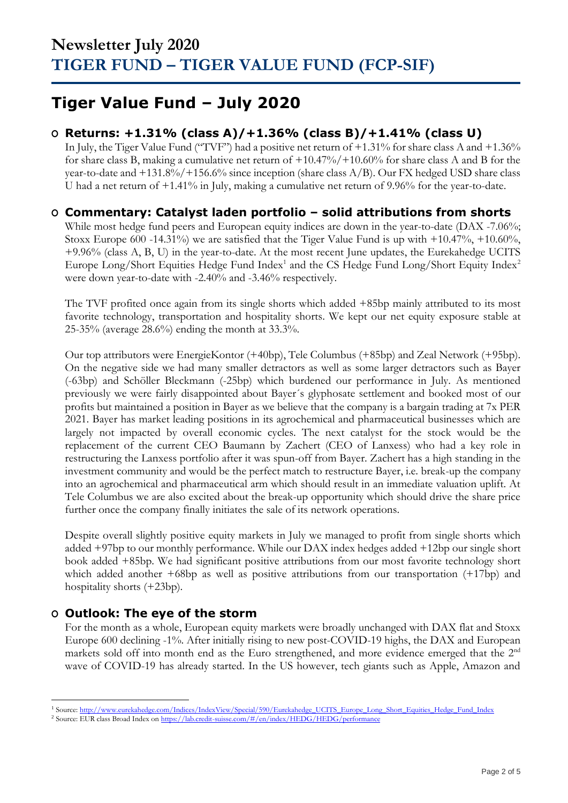## **Tiger Value Fund – July 2020**

### **O Returns: +1.31% (class A)/+1.36% (class B)/+1.41% (class U)**

In July, the Tiger Value Fund ("TVF") had a positive net return of +1.31% for share class A and +1.36% for share class B, making a cumulative net return of +10.47%/+10.60% for share class A and B for the year-to-date and  $+131.8\%/+156.6\%$  since inception (share class A/B). Our FX hedged USD share class U had a net return of +1.41% in July, making a cumulative net return of 9.96% for the year-to-date.

### **O Commentary: Catalyst laden portfolio – solid attributions from shorts**

While most hedge fund peers and European equity indices are down in the year-to-date (DAX -7.06%; Stoxx Europe 600 -14.31%) we are satisfied that the Tiger Value Fund is up with +10.47%, +10.60%, +9.96% (class A, B, U) in the year-to-date. At the most recent June updates, the Eurekahedge UCITS Europe Long/Short Equities Hedge Fund Index<sup>1</sup> and the CS Hedge Fund Long/Short Equity Index<sup>2</sup> were down year-to-date with -2.40% and -3.46% respectively.

The TVF profited once again from its single shorts which added +85bp mainly attributed to its most favorite technology, transportation and hospitality shorts. We kept our net equity exposure stable at 25-35% (average 28.6%) ending the month at 33.3%.

Our top attributors were EnergieKontor (+40bp), Tele Columbus (+85bp) and Zeal Network (+95bp). On the negative side we had many smaller detractors as well as some larger detractors such as Bayer (-63bp) and Schöller Bleckmann (-25bp) which burdened our performance in July. As mentioned previously we were fairly disappointed about Bayer´s glyphosate settlement and booked most of our profits but maintained a position in Bayer as we believe that the company is a bargain trading at 7x PER 2021. Bayer has market leading positions in its agrochemical and pharmaceutical businesses which are largely not impacted by overall economic cycles. The next catalyst for the stock would be the replacement of the current CEO Baumann by Zachert (CEO of Lanxess) who had a key role in restructuring the Lanxess portfolio after it was spun-off from Bayer. Zachert has a high standing in the investment community and would be the perfect match to restructure Bayer, i.e. break-up the company into an agrochemical and pharmaceutical arm which should result in an immediate valuation uplift. At Tele Columbus we are also excited about the break-up opportunity which should drive the share price further once the company finally initiates the sale of its network operations.

Despite overall slightly positive equity markets in July we managed to profit from single shorts which added +97bp to our monthly performance. While our DAX index hedges added +12bp our single short book added +85bp. We had significant positive attributions from our most favorite technology short which added another +68bp as well as positive attributions from our transportation (+17bp) and hospitality shorts (+23bp).

### **O Outlook: The eye of the storm**

For the month as a whole, European equity markets were broadly unchanged with DAX flat and Stoxx Europe 600 declining -1%. After initially rising to new post-COVID-19 highs, the DAX and European markets sold off into month end as the Euro strengthened, and more evidence emerged that the 2<sup>nd</sup> wave of COVID-19 has already started. In the US however, tech giants such as Apple, Amazon and

<sup>&</sup>lt;sup>1</sup> Source[: http://www.eurekahedge.com/Indices/IndexView/Special/590/Eurekahedge\\_UCITS\\_Europe\\_Long\\_Short\\_Equities\\_Hedge\\_Fund\\_Index](http://www.eurekahedge.com/Indices/IndexView/Special/590/Eurekahedge_UCITS_Europe_Long_Short_Equities_Hedge_Fund_Index)

<sup>&</sup>lt;sup>2</sup> Source: EUR class Broad Index o[n https://lab.credit-suisse.com/#/en/index/HEDG/HEDG/performance](https://lab.credit-suisse.com/#/en/index/HEDG/HEDG/performance)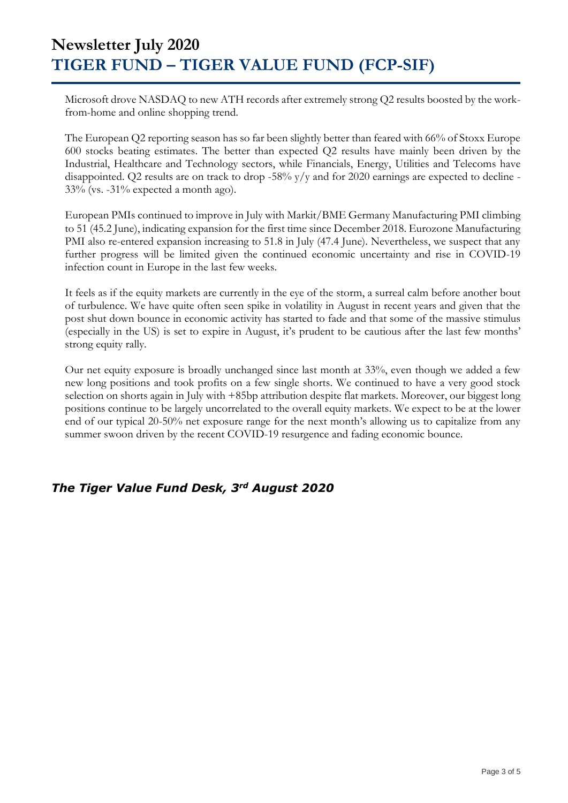Microsoft drove NASDAQ to new ATH records after extremely strong Q2 results boosted by the workfrom-home and online shopping trend.

The European Q2 reporting season has so far been slightly better than feared with 66% of Stoxx Europe 600 stocks beating estimates. The better than expected Q2 results have mainly been driven by the Industrial, Healthcare and Technology sectors, while Financials, Energy, Utilities and Telecoms have disappointed. Q2 results are on track to drop -58% y/y and for 2020 earnings are expected to decline - 33% (vs. -31% expected a month ago).

European PMIs continued to improve in July with Markit/BME Germany Manufacturing PMI climbing to 51 (45.2 June), indicating expansion for the first time since December 2018. Eurozone Manufacturing PMI also re-entered expansion increasing to 51.8 in July (47.4 June). Nevertheless, we suspect that any further progress will be limited given the continued economic uncertainty and rise in COVID-19 infection count in Europe in the last few weeks.

It feels as if the equity markets are currently in the eye of the storm, a surreal calm before another bout of turbulence. We have quite often seen spike in volatility in August in recent years and given that the post shut down bounce in economic activity has started to fade and that some of the massive stimulus (especially in the US) is set to expire in August, it's prudent to be cautious after the last few months' strong equity rally.

Our net equity exposure is broadly unchanged since last month at 33%, even though we added a few new long positions and took profits on a few single shorts. We continued to have a very good stock selection on shorts again in July with +85bp attribution despite flat markets. Moreover, our biggest long positions continue to be largely uncorrelated to the overall equity markets. We expect to be at the lower end of our typical 20-50% net exposure range for the next month's allowing us to capitalize from any summer swoon driven by the recent COVID-19 resurgence and fading economic bounce.

### *The Tiger Value Fund Desk, 3rd August 2020*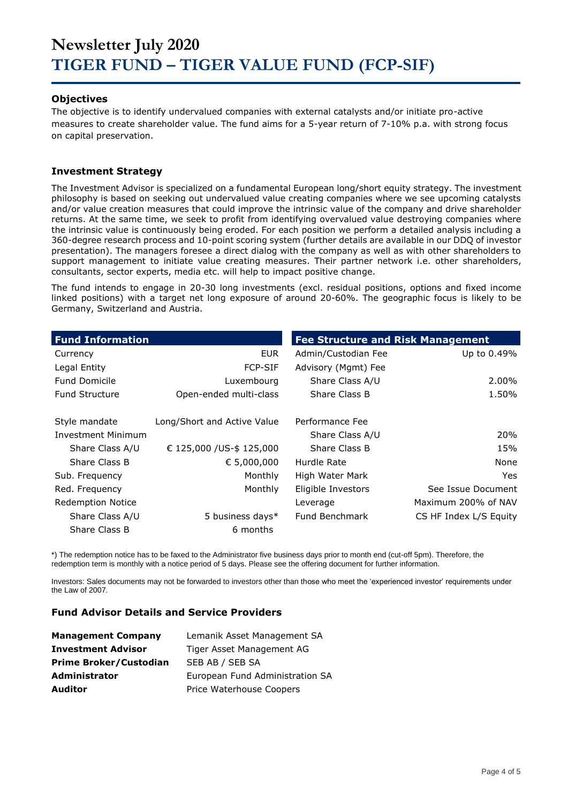#### **Objectives**

The objective is to identify undervalued companies with external catalysts and/or initiate pro-active measures to create shareholder value. The fund aims for a 5-year return of 7-10% p.a. with strong focus on capital preservation.

#### **Investment Strategy**

The Investment Advisor is specialized on a fundamental European long/short equity strategy. The investment philosophy is based on seeking out undervalued value creating companies where we see upcoming catalysts and/or value creation measures that could improve the intrinsic value of the company and drive shareholder returns. At the same time, we seek to profit from identifying overvalued value destroying companies where the intrinsic value is continuously being eroded. For each position we perform a detailed analysis including a 360-degree research process and 10-point scoring system (further details are available in our DDQ of investor presentation). The managers foresee a direct dialog with the company as well as with other shareholders to support management to initiate value creating measures. Their partner network i.e. other shareholders, consultants, sector experts, media etc. will help to impact positive change.

The fund intends to engage in 20-30 long investments (excl. residual positions, options and fixed income linked positions) with a target net long exposure of around 20-60%. The geographic focus is likely to be Germany, Switzerland and Austria.

| <b>Fund Information</b>   |                             | <b>Fee Structure and Risk Management</b> |                        |
|---------------------------|-----------------------------|------------------------------------------|------------------------|
| Currency                  | <b>EUR</b>                  | Admin/Custodian Fee                      | Up to 0.49%            |
| Legal Entity              | <b>FCP-SIF</b>              | Advisory (Mgmt) Fee                      |                        |
| <b>Fund Domicile</b>      | Luxembourg                  | Share Class A/U                          | 2.00%                  |
| <b>Fund Structure</b>     | Open-ended multi-class      | Share Class B                            | 1.50%                  |
| Style mandate             | Long/Short and Active Value | Performance Fee                          |                        |
| <b>Investment Minimum</b> |                             | Share Class A/U                          | 20%                    |
| Share Class A/U           | € 125,000 /US-\$ 125,000    | Share Class B                            | 15%                    |
| Share Class B             | € 5,000,000                 | Hurdle Rate                              | None                   |
| Sub. Frequency            | Monthly                     | High Water Mark                          | Yes.                   |
| Red. Frequency            | Monthly                     | Eligible Investors                       | See Issue Document     |
| <b>Redemption Notice</b>  |                             | Leverage                                 | Maximum 200% of NAV    |
| Share Class A/U           | 5 business days*            | Fund Benchmark                           | CS HF Index L/S Equity |
| Share Class B             | 6 months                    |                                          |                        |

\*) The redemption notice has to be faxed to the Administrator five business days prior to month end (cut-off 5pm). Therefore, the redemption term is monthly with a notice period of 5 days. Please see the offering document for further information.

Investors: Sales documents may not be forwarded to investors other than those who meet the 'experienced investor' requirements under the Law of 2007.

#### **Fund Advisor Details and Service Providers**

| <b>Management Company</b>     | Lemanik Asset Management SA     |
|-------------------------------|---------------------------------|
| <b>Investment Advisor</b>     | Tiger Asset Management AG       |
| <b>Prime Broker/Custodian</b> | SEB AB / SEB SA                 |
| <b>Administrator</b>          | European Fund Administration SA |
| <b>Auditor</b>                | Price Waterhouse Coopers        |